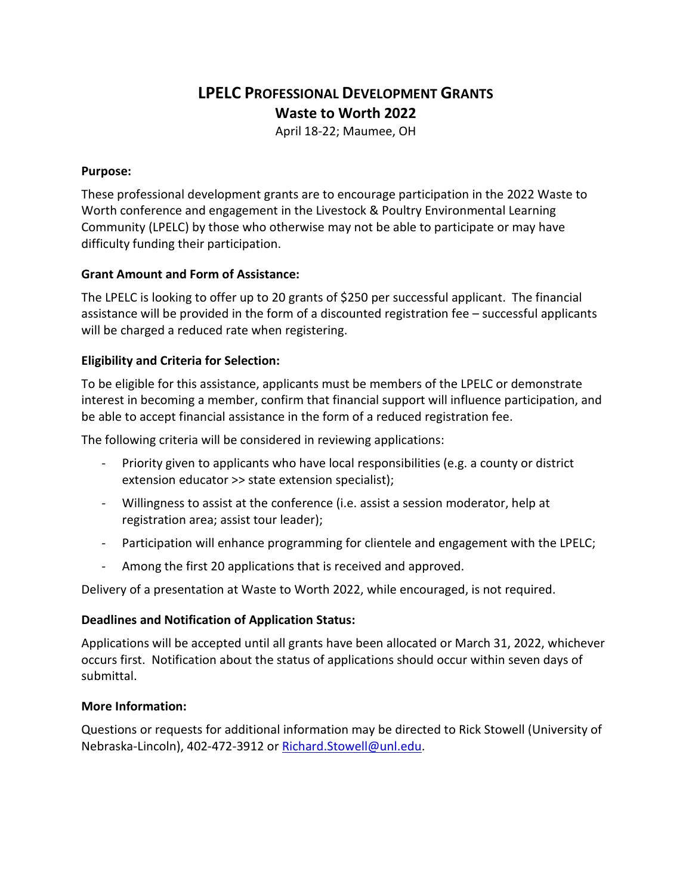# **LPELC PROFESSIONAL DEVELOPMENT GRANTS Waste to Worth 2022**

April 18-22; Maumee, OH

#### **Purpose:**

These professional development grants are to encourage participation in the 2022 Waste to Worth conference and engagement in the Livestock & Poultry Environmental Learning Community (LPELC) by those who otherwise may not be able to participate or may have difficulty funding their participation.

### **Grant Amount and Form of Assistance:**

The LPELC is looking to offer up to 20 grants of \$250 per successful applicant. The financial assistance will be provided in the form of a discounted registration fee – successful applicants will be charged a reduced rate when registering.

# **Eligibility and Criteria for Selection:**

To be eligible for this assistance, applicants must be members of the LPELC or demonstrate interest in becoming a member, confirm that financial support will influence participation, and be able to accept financial assistance in the form of a reduced registration fee.

The following criteria will be considered in reviewing applications:

- Priority given to applicants who have local responsibilities (e.g. a county or district extension educator >> state extension specialist);
- Willingness to assist at the conference (i.e. assist a session moderator, help at registration area; assist tour leader);
- Participation will enhance programming for clientele and engagement with the LPELC;
- Among the first 20 applications that is received and approved.

Delivery of a presentation at Waste to Worth 2022, while encouraged, is not required.

#### **Deadlines and Notification of Application Status:**

Applications will be accepted until all grants have been allocated or March 31, 2022, whichever occurs first. Notification about the status of applications should occur within seven days of submittal.

#### **More Information:**

Questions or requests for additional information may be directed to Rick Stowell (University of Nebraska-Lincoln), 402-472-3912 or [Richard.Stowell@unl.edu.](mailto:Richard.Stowell@unl.edu)